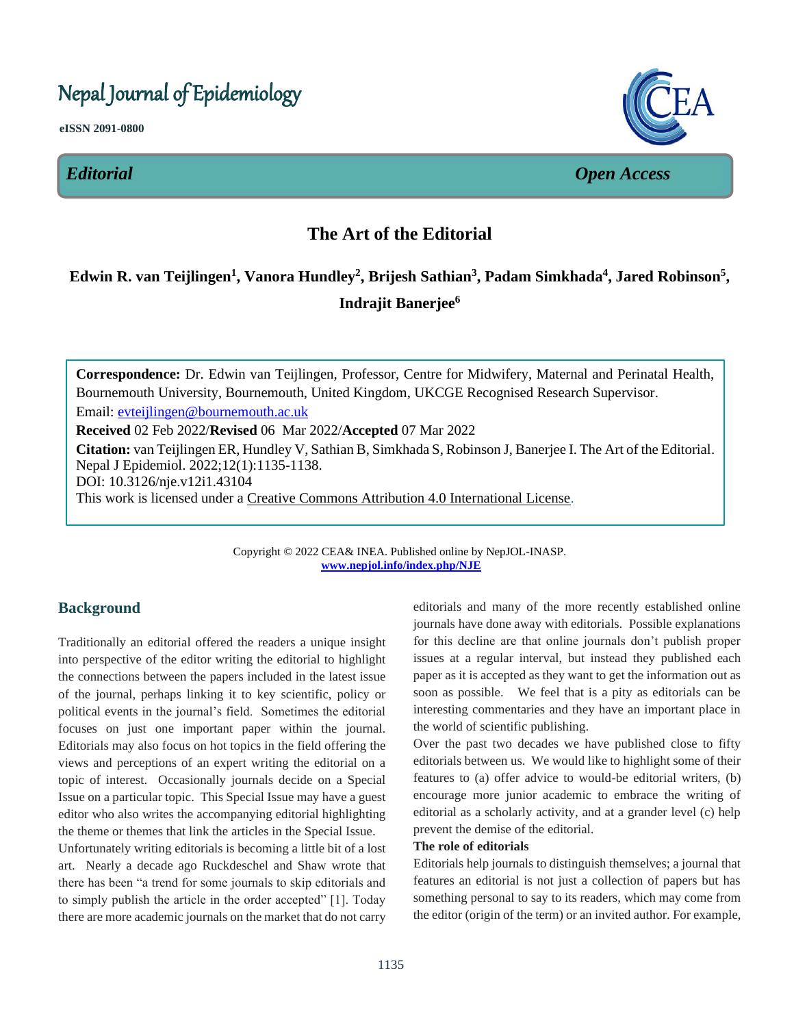# Nepal Journal of Epidemiology

**eISSN 2091-0800**





*Editorial Open Access*

# **The Art of the Editorial**  $\mathbf{L}$

# **Edwin R. van Teijlingen<sup>1</sup> , Vanora Hundley<sup>2</sup> , Brijesh Sathian<sup>3</sup> , Padam Simkhada<sup>4</sup> , Jared Robinson<sup>5</sup> , Indrajit Banerjee<sup>6</sup>**  $\mathbf{l}$

**Correspondence:** Dr. Edwin van Teijlingen, Professor, Centre for Midwifery, Maternal and Perinatal Health, Bournemouth University, Bournemouth, United Kingdom, UKCGE Recognised Research Supervisor. Email: [evteijlingen@bournemouth.ac.uk](mailto:evteijlingen@bournemouth.ac.uk)

**Received** 02 Feb 2022/**Revised** 06 Mar 2022/**Accepted** 07 Mar 2022

**Citation:** van Teijlingen ER, Hundley V, Sathian B, Simkhada S, Robinson J, Banerjee I. The Art of the Editorial. Nepal J Epidemiol. 2022;12(1):1135-1138. DOI: 10.3126/nje.v12i1.43104

This work is licensed under a [Creative Commons Attribution 4.0 International License.](http://creativecommons.org/licenses/by/4.0/)

Copyright © 2022 CEA& INEA. Published online by NepJOL-INASP. **[www.nepjol.info/index.php/NJE](http://www.nepjol.info/index.php/NJE)**

# **Background**

Traditionally an editorial offered the readers a unique insight into perspective of the editor writing the editorial to highlight the connections between the papers included in the latest issue of the journal, perhaps linking it to key scientific, policy or political events in the journal's field. Sometimes the editorial focuses on just one important paper within the journal. Editorials may also focus on hot topics in the field offering the views and perceptions of an expert writing the editorial on a topic of interest. Occasionally journals decide on a Special Issue on a particular topic. This Special Issue may have a guest editor who also writes the accompanying editorial highlighting the theme or themes that link the articles in the Special Issue.

Unfortunately writing editorials is becoming a little bit of a lost art. Nearly a decade ago Ruckdeschel and Shaw wrote that there has been "a trend for some journals to skip editorials and to simply publish the article in the order accepted" [1]. Today there are more academic journals on the market that do not carry

editorials and many of the more recently established online journals have done away with editorials. Possible explanations for this decline are that online journals don't publish proper issues at a regular interval, but instead they published each paper as it is accepted as they want to get the information out as soon as possible. We feel that is a pity as editorials can be interesting commentaries and they have an important place in the world of scientific publishing.

Over the past two decades we have published close to fifty editorials between us. We would like to highlight some of their features to (a) offer advice to would-be editorial writers, (b) encourage more junior academic to embrace the writing of editorial as a scholarly activity, and at a grander level (c) help prevent the demise of the editorial.

#### **The role of editorials**

Editorials help journals to distinguish themselves; a journal that features an editorial is not just a collection of papers but has something personal to say to its readers, which may come from the editor (origin of the term) or an invited author. For example,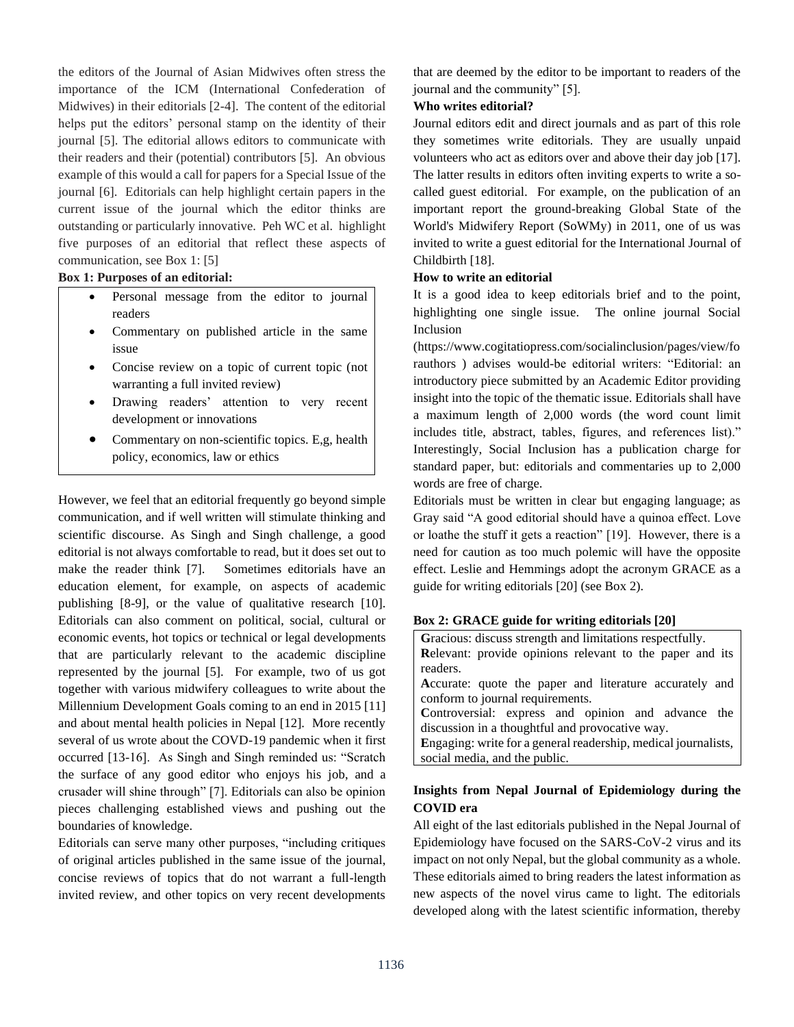the editors of the Journal of Asian Midwives often stress the importance of the ICM (International Confederation of Midwives) in their editorials [2-4]. The content of the editorial helps put the editors' personal stamp on the identity of their journal [5]. The editorial allows editors to communicate with their readers and their (potential) contributors [5]. An obvious example of this would a call for papers for a Special Issue of the journal [6]. Editorials can help highlight certain papers in the current issue of the journal which the editor thinks are outstanding or particularly innovative. Peh WC et al. highlight five purposes of an editorial that reflect these aspects of communication, see Box 1: [5]

**Box 1: Purposes of an editorial:**

- Personal message from the editor to journal readers
- Commentary on published article in the same issue
- Concise review on a topic of current topic (not warranting a full invited review)
- Drawing readers' attention to very recent development or innovations
- Commentary on non-scientific topics. E,g, health policy, economics, law or ethics

However, we feel that an editorial frequently go beyond simple communication, and if well written will stimulate thinking and scientific discourse. As Singh and Singh challenge, a good editorial is not always comfortable to read, but it does set out to make the reader think [7]. Sometimes editorials have an education element, for example, on aspects of academic publishing [8-9], or the value of qualitative research [10]. Editorials can also comment on political, social, cultural or economic events, hot topics or technical or legal developments that are particularly relevant to the academic discipline represented by the journal [5]. For example, two of us got together with various midwifery colleagues to write about the Millennium Development Goals coming to an end in 2015 [11] and about mental health policies in Nepal [12]. More recently several of us wrote about the COVD-19 pandemic when it first occurred [13-16]. As Singh and Singh reminded us: "Scratch the surface of any good editor who enjoys his job, and a crusader will shine through" [7]. Editorials can also be opinion pieces challenging established views and pushing out the boundaries of knowledge.

Editorials can serve many other purposes, "including critiques of original articles published in the same issue of the journal, concise reviews of topics that do not warrant a full-length invited review, and other topics on very recent developments

that are deemed by the editor to be important to readers of the journal and the community" [5].

#### **Who writes editorial?**

Journal editors edit and direct journals and as part of this role they sometimes write editorials. They are usually unpaid volunteers who act as editors over and above their day job [17]. The latter results in editors often inviting experts to write a socalled guest editorial. For example, on the publication of an important report the ground-breaking Global State of the World's Midwifery Report (SoWMy) in 2011, one of us was invited to write a guest editorial for the International Journal of Childbirth [18].

#### **How to write an editorial**

It is a good idea to keep editorials brief and to the point, highlighting one single issue. The online journal Social Inclusion

(https://www.cogitatiopress.com/socialinclusion/pages/view/fo rauthors ) advises would-be editorial writers: "Editorial: an introductory piece submitted by an Academic Editor providing insight into the topic of the thematic issue. Editorials shall have a maximum length of 2,000 words (the word count limit includes title, abstract, tables, figures, and references list)." Interestingly, Social Inclusion has a publication charge for standard paper, but: editorials and commentaries up to 2,000 words are free of charge.

Editorials must be written in clear but engaging language; as Gray said "A good editorial should have a quinoa effect. Love or loathe the stuff it gets a reaction" [19]. However, there is a need for caution as too much polemic will have the opposite effect. Leslie and Hemmings adopt the acronym GRACE as a guide for writing editorials [20] (see Box 2).

## **Box 2: GRACE guide for writing editorials [20]**

| Gracious: discuss strength and limitations respectfully.       |
|----------------------------------------------------------------|
| Relevant: provide opinions relevant to the paper and its       |
| readers.                                                       |
| Accurate: quote the paper and literature accurately and        |
| conform to journal requirements.                               |
| Controversial: express and opinion and advance the             |
| discussion in a thoughtful and provocative way.                |
| Engaging: write for a general readership, medical journalists, |
| social media, and the public.                                  |

# **Insights from Nepal Journal of Epidemiology during the COVID era**

All eight of the last editorials published in the Nepal Journal of Epidemiology have focused on the SARS-CoV-2 virus and its impact on not only Nepal, but the global community as a whole. These editorials aimed to bring readers the latest information as new aspects of the novel virus came to light. The editorials developed along with the latest scientific information, thereby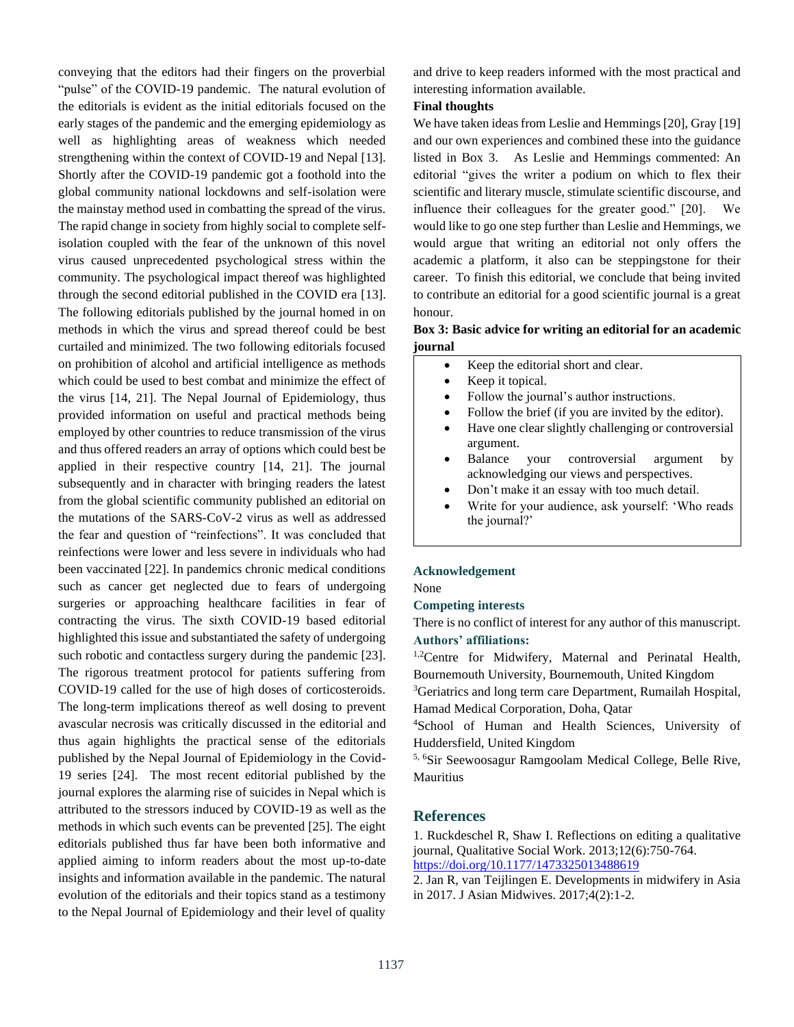conveying that the editors had their fingers on the proverbial "pulse" of the COVID-19 pandemic. The natural evolution of the editorials is evident as the initial editorials focused on the early stages of the pandemic and the emerging epidemiology as well as highlighting areas of weakness which needed strengthening within the context of COVID-19 and Nepal [13]. Shortly after the COVID-19 pandemic got a foothold into the global community national lockdowns and self-isolation were the mainstay method used in combatting the spread of the virus. The rapid change in society from highly social to complete selfisolation coupled with the fear of the unknown of this novel virus caused unprecedented psychological stress within the community. The psychological impact thereof was highlighted through the second editorial published in the COVID era [13]. The following editorials published by the journal homed in on methods in which the virus and spread thereof could be best curtailed and minimized. The two following editorials focused on prohibition of alcohol and artificial intelligence as methods which could be used to best combat and minimize the effect of the virus [14, 21]. The Nepal Journal of Epidemiology, thus provided information on useful and practical methods being employed by other countries to reduce transmission of the virus and thus offered readers an array of options which could best be applied in their respective country [14, 21]. The journal subsequently and in character with bringing readers the latest from the global scientific community published an editorial on the mutations of the SARS-CoV-2 virus as well as addressed the fear and question of "reinfections". It was concluded that reinfections were lower and less severe in individuals who had been vaccinated [22]. In pandemics chronic medical conditions such as cancer get neglected due to fears of undergoing surgeries or approaching healthcare facilities in fear of contracting the virus. The sixth COVID-19 based editorial highlighted this issue and substantiated the safety of undergoing such robotic and contactless surgery during the pandemic [23]. The rigorous treatment protocol for patients suffering from COVID-19 called for the use of high doses of corticosteroids. The long-term implications thereof as well dosing to prevent avascular necrosis was critically discussed in the editorial and thus again highlights the practical sense of the editorials published by the Nepal Journal of Epidemiology in the Covid-19 series [24]. The most recent editorial published by the journal explores the alarming rise of suicides in Nepal which is attributed to the stressors induced by COVID-19 as well as the methods in which such events can be prevented [25]. The eight editorials published thus far have been both informative and applied aiming to inform readers about the most up-to-date insights and information available in the pandemic. The natural evolution of the editorials and their topics stand as a testimony to the Nepal Journal of Epidemiology and their level of quality

and drive to keep readers informed with the most practical and interesting information available.

## **Final thoughts**

We have taken ideas from Leslie and Hemmings [20], Gray [19] and our own experiences and combined these into the guidance listed in Box 3. As Leslie and Hemmings commented: An editorial "gives the writer a podium on which to flex their scientific and literary muscle, stimulate scientific discourse, and influence their colleagues for the greater good." [20]. We would like to go one step further than Leslie and Hemmings, we would argue that writing an editorial not only offers the academic a platform, it also can be steppingstone for their career. To finish this editorial, we conclude that being invited to contribute an editorial for a good scientific journal is a great honour.

#### **Box 3: Basic advice for writing an editorial for an academic journal**

- Keep the editorial short and clear.
- Keep it topical.
- Follow the journal's author instructions.
- Follow the brief (if you are invited by the editor).
- Have one clear slightly challenging or controversial argument.
- Balance your controversial argument by acknowledging our views and perspectives.
- Don't make it an essay with too much detail.
- Write for your audience, ask yourself: 'Who reads the journal?'

#### **Acknowledgement**

None

#### **Competing interests**

There is no conflict of interest for any author of this manuscript. **Authors' affiliations:**

<sup>1,2</sup>Centre for Midwifery, Maternal and Perinatal Health, Bournemouth University, Bournemouth, United Kingdom

<sup>3</sup>Geriatrics and long term care Department, Rumailah Hospital, Hamad Medical Corporation, Doha, Qatar

<sup>4</sup>School of Human and Health Sciences, University of Huddersfield, United Kingdom

5, 6Sir Seewoosagur Ramgoolam Medical College, Belle Rive, Mauritius

#### **References**

1. Ruckdeschel R, Shaw I. Reflections on editing a qualitative journal, Qualitative Social Work. 2013;12(6):750-764. <https://doi.org/10.1177/1473325013488619>

2. Jan R, van Teijlingen E. Developments in midwifery in Asia in 2017. J Asian Midwives. 2017;4(2):1-2.